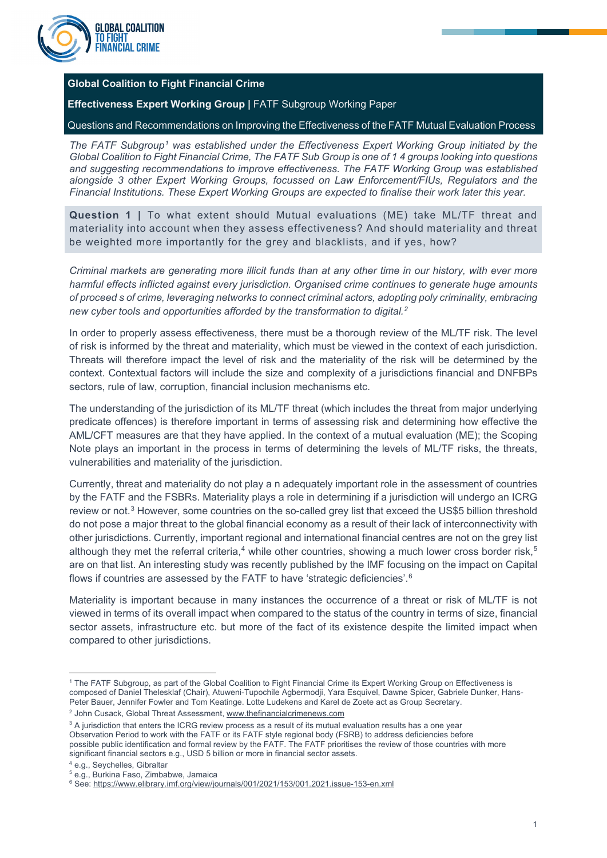

# **Global Coalition to Fight Financial Crime**

**Effectiveness Expert Working Group | FATF Subgroup Working Paper** 

Questions and Recommendations on Improving the Effectiveness of the FATF Mutual Evaluation Process

*The FATF Subgroup[1](#page-0-0) was established under the Effectiveness Expert Working Group initiated by the Global Coalition to Fight Financial Crime, The FATF Sub Group is one of 1 4 groups looking into questions and suggesting recommendations to improve effectiveness. The FATF Working Group was established alongside 3 other Expert Working Groups, focussed on Law Enforcement/FIUs, Regulators and the Financial Institutions. These Expert Working Groups are expected to finalise their work later this year.*

**Question 1 |** To what extent should Mutual evaluations (ME) take ML/TF threat and materiality into account when they assess effectiveness? And should materiality and threat be weighted more importantly for the grey and blacklists, and if yes, how?

*Criminal markets are generating more illicit funds than at any other time in our history, with ever more harmful effects inflicted against every jurisdiction. Organised crime continues to generate huge amounts of proceed s of crime, leveraging networks to connect criminal actors, adopting poly criminality, embracing new cyber tools and opportunities afforded by the transformation to digital. [2](#page-0-1)*

In order to properly assess effectiveness, there must be a thorough review of the ML/TF risk. The level of risk is informed by the threat and materiality, which must be viewed in the context of each jurisdiction. Threats will therefore impact the level of risk and the materiality of the risk will be determined by the context. Contextual factors will include the size and complexity of a jurisdictions financial and DNFBPs sectors, rule of law, corruption, financial inclusion mechanisms etc.

The understanding of the jurisdiction of its ML/TF threat (which includes the threat from major underlying predicate offences) is therefore important in terms of assessing risk and determining how effective the AML/CFT measures are that they have applied. In the context of a mutual evaluation (ME); the Scoping Note plays an important in the process in terms of determining the levels of ML/TF risks, the threats, vulnerabilities and materiality of the jurisdiction.

Currently, threat and materiality do not play a n adequately important role in the assessment of countries by the FATF and the FSBRs. Materiality plays a role in determining if a jurisdiction will undergo an ICRG review or not.<sup>[3](#page-0-2)</sup> However, some countries on the so-called grey list that exceed the US\$5 billion threshold do not pose a major threat to the global financial economy as a result of their lack of interconnectivity with other jurisdictions. Currently, important regional and international financial centres are not on the grey list although they met the referral criteria,<sup>[4](#page-0-3)</sup> while other countries, showing a much lower cross border risk,<sup>[5](#page-0-4)</sup> are on that list. An interesting study was recently published by the IMF focusing on the impact on Capital flows if countries are assessed by the FATF to have 'strategic deficiencies'. $^6$  $^6$ 

Materiality is important because in many instances the occurrence of a threat or risk of ML/TF is not viewed in terms of its overall impact when compared to the status of the country in terms of size, financial sector assets, infrastructure etc. but more of the fact of its existence despite the limited impact when compared to other jurisdictions.

<span id="page-0-0"></span><sup>1</sup> The FATF Subgroup, as part of the Global Coalition to Fight Financial Crime its Expert Working Group on Effectiveness is composed of Daniel Thelesklaf (Chair), Atuweni-Tupochile Agbermodji, Yara Esquivel, Dawne Spicer, Gabriele Dunker, Hans-Peter Bauer, Jennifer Fowler and Tom Keatinge. Lotte Ludekens and Karel de Zoete act as Group Secretary.

<span id="page-0-1"></span><sup>&</sup>lt;sup>2</sup> John Cusack, Global Threat Assessment[, www.thefinancialcrimenews.com](http://www.thefinancialcrimenews.com/)

<span id="page-0-2"></span><sup>&</sup>lt;sup>3</sup> A jurisdiction that enters the ICRG review process as a result of its mutual evaluation results has a one year Observation Period to work with the FATF or its FATF style regional body (FSRB) to address deficiencies before possible public identification and formal review by the FATF. The FATF prioritises the review of those countries with more significant financial sectors e.g., USD 5 billion or more in financial sector assets.

<span id="page-0-3"></span><sup>4</sup> e.g., Seychelles, Gibraltar

<span id="page-0-4"></span><sup>5</sup> e.g., Burkina Faso, Zimbabwe, Jamaica

<span id="page-0-5"></span><sup>6</sup> See[: https://www.elibrary.imf.org/view/journals/001/2021/153/001.2021.issue-153-en.xml](https://www.elibrary.imf.org/view/journals/001/2021/153/001.2021.issue-153-en.xml)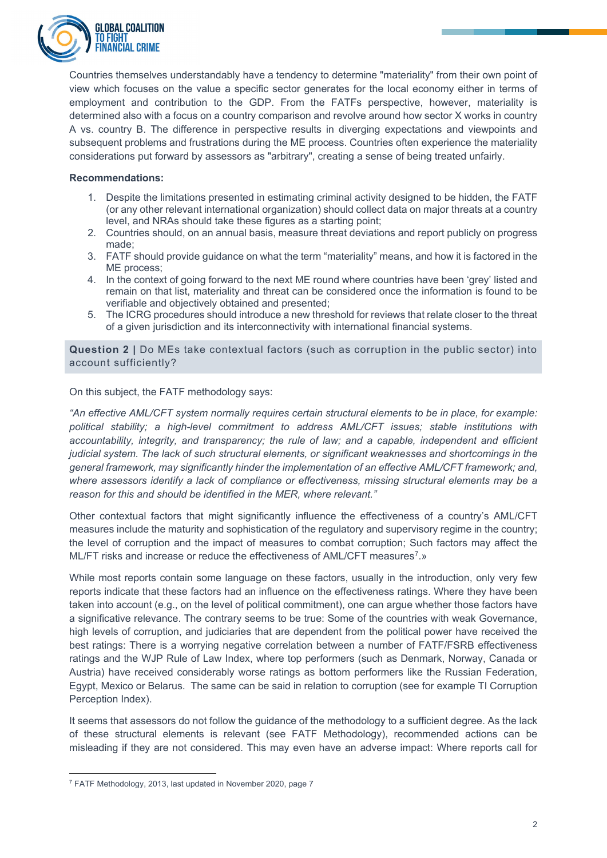

Countries themselves understandably have a tendency to determine "materiality" from their own point of view which focuses on the value a specific sector generates for the local economy either in terms of employment and contribution to the GDP. From the FATFs perspective, however, materiality is determined also with a focus on a country comparison and revolve around how sector X works in country A vs. country B. The difference in perspective results in diverging expectations and viewpoints and subsequent problems and frustrations during the ME process. Countries often experience the materiality considerations put forward by assessors as "arbitrary", creating a sense of being treated unfairly.

## **Recommendations:**

- 1. Despite the limitations presented in estimating criminal activity designed to be hidden, the FATF (or any other relevant international organization) should collect data on major threats at a country level, and NRAs should take these figures as a starting point;
- 2. Countries should, on an annual basis, measure threat deviations and report publicly on progress made;
- 3. FATF should provide guidance on what the term "materiality" means, and how it is factored in the ME process;
- 4. In the context of going forward to the next ME round where countries have been 'grey' listed and remain on that list, materiality and threat can be considered once the information is found to be verifiable and objectively obtained and presented;
- 5. The ICRG procedures should introduce a new threshold for reviews that relate closer to the threat of a given jurisdiction and its interconnectivity with international financial systems.

**Question 2 |** Do MEs take contextual factors (such as corruption in the public sector) into account sufficiently?

On this subject, the FATF methodology says:

*"An effective AML/CFT system normally requires certain structural elements to be in place, for example: political stability; a high-level commitment to address AML/CFT issues; stable institutions with accountability, integrity, and transparency; the rule of law; and a capable, independent and efficient judicial system. The lack of such structural elements, or significant weaknesses and shortcomings in the general framework, may significantly hinder the implementation of an effective AML/CFT framework; and, where assessors identify a lack of compliance or effectiveness, missing structural elements may be a reason for this and should be identified in the MER, where relevant."*

Other contextual factors that might significantly influence the effectiveness of a country's AML/CFT measures include the maturity and sophistication of the regulatory and supervisory regime in the country; the level of corruption and the impact of measures to combat corruption; Such factors may affect the ML/FT risks and increase or reduce the effectiveness of AML/CFT measures<sup>7</sup>.»

While most reports contain some language on these factors, usually in the introduction, only very few reports indicate that these factors had an influence on the effectiveness ratings. Where they have been taken into account (e.g., on the level of political commitment), one can argue whether those factors have a significative relevance. The contrary seems to be true: Some of the countries with weak Governance, high levels of corruption, and judiciaries that are dependent from the political power have received the best ratings: There is a worrying negative correlation between a number of FATF/FSRB effectiveness ratings and the WJP Rule of Law Index, where top performers (such as Denmark, Norway, Canada or Austria) have received considerably worse ratings as bottom performers like the Russian Federation, Egypt, Mexico or Belarus. The same can be said in relation to corruption (see for example TI Corruption Perception Index).

It seems that assessors do not follow the guidance of the methodology to a sufficient degree. As the lack of these structural elements is relevant (see FATF Methodology), recommended actions can be misleading if they are not considered. This may even have an adverse impact: Where reports call for

<span id="page-1-0"></span><sup>7</sup> FATF Methodology, 2013, last updated in November 2020, page 7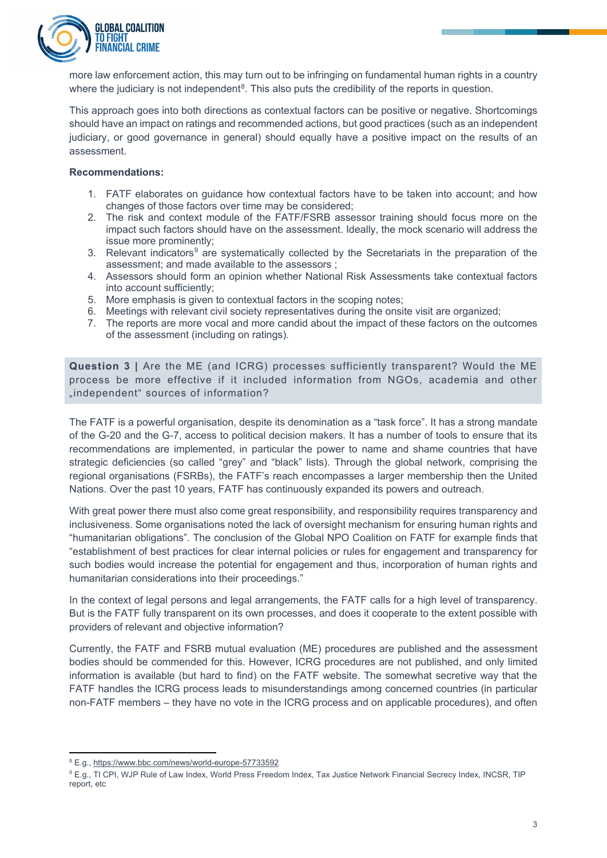

more law enforcement action, this may turn out to be infringing on fundamental human rights in a country where the judiciary is not independent<sup>8</sup>. This also puts the credibility of the reports in question.

This approach goes into both directions as contextual factors can be positive or negative. Shortcomings should have an impact on ratings and recommended actions, but good practices (such as an independent judiciary, or good governance in general) should equally have a positive impact on the results of an assessment.

# **Recommendations:**

- 1. FATF elaborates on guidance how contextual factors have to be taken into account; and how changes of those factors over time may be considered;
- 2. The risk and context module of the FATF/FSRB assessor training should focus more on the impact such factors should have on the assessment. Ideally, the mock scenario will address the issue more prominently;
- 3. Relevant indicators<sup>[9](#page-2-1)</sup> are systematically collected by the Secretariats in the preparation of the assessment; and made available to the assessors ;
- 4. Assessors should form an opinion whether National Risk Assessments take contextual factors into account sufficiently;
- 5. More emphasis is given to contextual factors in the scoping notes;
- 6. Meetings with relevant civil society representatives during the onsite visit are organized;
- 7. The reports are more vocal and more candid about the impact of these factors on the outcomes of the assessment (including on ratings).

**Question 3 |** Are the ME (and ICRG) processes sufficiently transparent? Would the ME process be more effective if it included information from NGOs, academia and other "independent" sources of information?

The FATF is a powerful organisation, despite its denomination as a "task force". It has a strong mandate of the G-20 and the G-7, access to political decision makers. It has a number of tools to ensure that its recommendations are implemented, in particular the power to name and shame countries that have strategic deficiencies (so called "grey" and "black" lists). Through the global network, comprising the regional organisations (FSRBs), the FATF's reach encompasses a larger membership then the United Nations. Over the past 10 years, FATF has continuously expanded its powers and outreach.

With great power there must also come great responsibility, and responsibility requires transparency and inclusiveness. Some organisations noted the lack of oversight mechanism for ensuring human rights and "humanitarian obligations". The conclusion of the Global NPO Coalition on FATF for example finds that "establishment of best practices for clear internal policies or rules for engagement and transparency for such bodies would increase the potential for engagement and thus, incorporation of human rights and humanitarian considerations into their proceedings."

In the context of legal persons and legal arrangements, the FATF calls for a high level of transparency. But is the FATF fully transparent on its own processes, and does it cooperate to the extent possible with providers of relevant and objective information?

Currently, the FATF and FSRB mutual evaluation (ME) procedures are published and the assessment bodies should be commended for this. However, ICRG procedures are not published, and only limited information is available (but hard to find) on the FATF website. The somewhat secretive way that the FATF handles the ICRG process leads to misunderstandings among concerned countries (in particular non-FATF members – they have no vote in the ICRG process and on applicable procedures), and often

<span id="page-2-0"></span><sup>8</sup> E.g., <https://www.bbc.com/news/world-europe-57733592>

<span id="page-2-1"></span><sup>&</sup>lt;sup>9</sup> E.g., TI CPI, WJP Rule of Law Index, World Press Freedom Index, Tax Justice Network Financial Secrecy Index, INCSR, TIP report, etc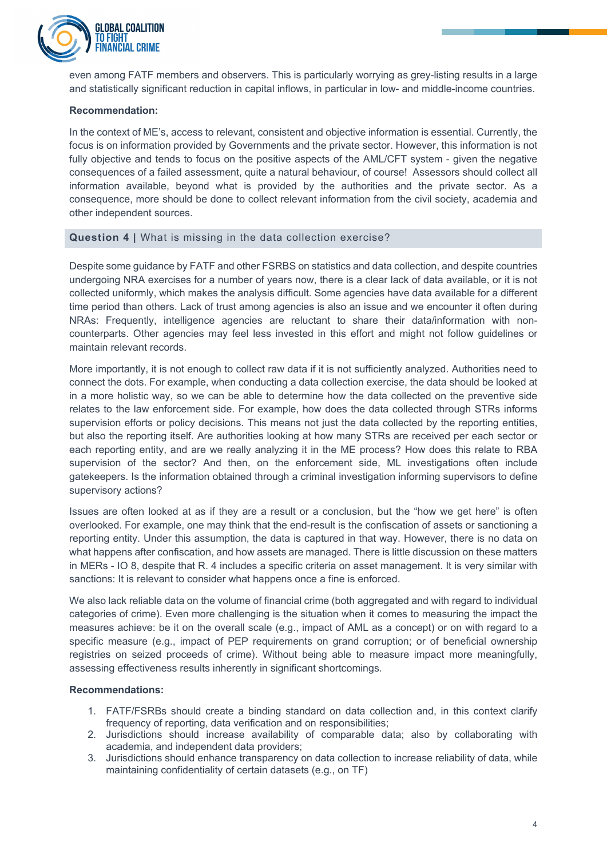

even among FATF members and observers. This is particularly worrying as grey-listing results in a large and statistically significant reduction in capital inflows, in particular in low- and middle-income countries.

## **Recommendation:**

In the context of ME's, access to relevant, consistent and objective information is essential. Currently, the focus is on information provided by Governments and the private sector. However, this information is not fully objective and tends to focus on the positive aspects of the AML/CFT system - given the negative consequences of a failed assessment, quite a natural behaviour, of course! Assessors should collect all information available, beyond what is provided by the authorities and the private sector. As a consequence, more should be done to collect relevant information from the civil society, academia and other independent sources.

## **Question 4 |** What is missing in the data collection exercise?

Despite some guidance by FATF and other FSRBS on statistics and data collection, and despite countries undergoing NRA exercises for a number of years now, there is a clear lack of data available, or it is not collected uniformly, which makes the analysis difficult. Some agencies have data available for a different time period than others. Lack of trust among agencies is also an issue and we encounter it often during NRAs: Frequently, intelligence agencies are reluctant to share their data/information with noncounterparts. Other agencies may feel less invested in this effort and might not follow guidelines or maintain relevant records.

More importantly, it is not enough to collect raw data if it is not sufficiently analyzed. Authorities need to connect the dots. For example, when conducting a data collection exercise, the data should be looked at in a more holistic way, so we can be able to determine how the data collected on the preventive side relates to the law enforcement side. For example, how does the data collected through STRs informs supervision efforts or policy decisions. This means not just the data collected by the reporting entities, but also the reporting itself. Are authorities looking at how many STRs are received per each sector or each reporting entity, and are we really analyzing it in the ME process? How does this relate to RBA supervision of the sector? And then, on the enforcement side, ML investigations often include gatekeepers. Is the information obtained through a criminal investigation informing supervisors to define supervisory actions?

Issues are often looked at as if they are a result or a conclusion, but the "how we get here" is often overlooked. For example, one may think that the end-result is the confiscation of assets or sanctioning a reporting entity. Under this assumption, the data is captured in that way. However, there is no data on what happens after confiscation, and how assets are managed. There is little discussion on these matters in MERs - IO 8, despite that R. 4 includes a specific criteria on asset management. It is very similar with sanctions: It is relevant to consider what happens once a fine is enforced.

We also lack reliable data on the volume of financial crime (both aggregated and with regard to individual categories of crime). Even more challenging is the situation when it comes to measuring the impact the measures achieve: be it on the overall scale (e.g., impact of AML as a concept) or on with regard to a specific measure (e.g., impact of PEP requirements on grand corruption; or of beneficial ownership registries on seized proceeds of crime). Without being able to measure impact more meaningfully, assessing effectiveness results inherently in significant shortcomings.

#### **Recommendations:**

- 1. FATF/FSRBs should create a binding standard on data collection and, in this context clarify frequency of reporting, data verification and on responsibilities;
- 2. Jurisdictions should increase availability of comparable data; also by collaborating with academia, and independent data providers;
- 3. Jurisdictions should enhance transparency on data collection to increase reliability of data, while maintaining confidentiality of certain datasets (e.g., on TF)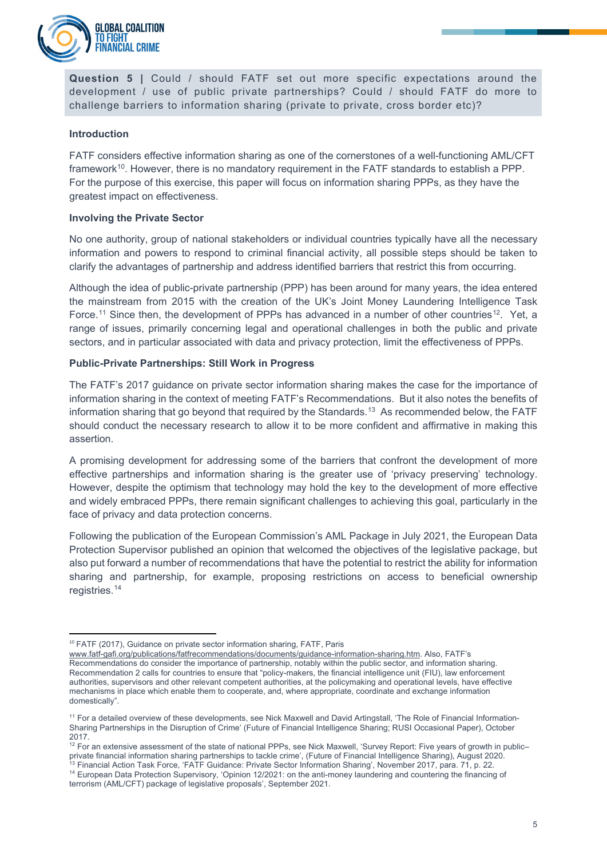

**Question 5 |** Could / should FATF set out more specific expectations around the development / use of public private partnerships? Could / should FATF do more to challenge barriers to information sharing (private to private, cross border etc)?

#### **Introduction**

FATF considers effective information sharing as one of the cornerstones of a well-functioning AML/CFT framework<sup>[10](#page-4-0)</sup>. However, there is no mandatory requirement in the FATF standards to establish a PPP. For the purpose of this exercise, this paper will focus on information sharing PPPs, as they have the greatest impact on effectiveness.

## **Involving the Private Sector**

No one authority, group of national stakeholders or individual countries typically have all the necessary information and powers to respond to criminal financial activity, all possible steps should be taken to clarify the advantages of partnership and address identified barriers that restrict this from occurring.

Although the idea of public-private partnership (PPP) has been around for many years, the idea entered the mainstream from 2015 with the creation of the UK's Joint Money Laundering Intelligence Task Force.<sup>[11](#page-4-1)</sup> Since then, the development of PPPs has advanced in a number of other countries<sup>12</sup>. Yet, a range of issues, primarily concerning legal and operational challenges in both the public and private sectors, and in particular associated with data and privacy protection, limit the effectiveness of PPPs.

## **Public-Private Partnerships: Still Work in Progress**

The FATF's 2017 guidance on private sector information sharing makes the case for the importance of information sharing in the context of meeting FATF's Recommendations. But it also notes the benefits of information sharing that go beyond that required by the Standards.<sup>[13](#page-4-3)</sup> As recommended below, the FATF should conduct the necessary research to allow it to be more confident and affirmative in making this assertion.

A promising development for addressing some of the barriers that confront the development of more effective partnerships and information sharing is the greater use of 'privacy preserving' technology. However, despite the optimism that technology may hold the key to the development of more effective and widely embraced PPPs, there remain significant challenges to achieving this goal, particularly in the face of privacy and data protection concerns.

Following the publication of the European Commission's AML Package in July 2021, the European Data Protection Supervisor published an opinion that welcomed the objectives of the legislative package, but also put forward a number of recommendations that have the potential to restrict the ability for information sharing and partnership, for example, proposing restrictions on access to beneficial ownership registries.[14](#page-4-4)

<span id="page-4-0"></span><sup>&</sup>lt;sup>10</sup> FATF (2017), Guidance on private sector information sharing, FATF, Paris

[www.fatf-gafi.org/publications/fatfrecommendations/documents/guidance-information-sharing.htm.](http://www.fatf-gafi.org/publications/fatfrecommendations/documents/guidance-information-sharing.htm) Also, FATF's Recommendations do consider the importance of partnership, notably within the public sector, and information sharing. Recommendation 2 calls for countries to ensure that "policy-makers, the financial intelligence unit (FIU), law enforcement authorities, supervisors and other relevant competent authorities, at the policymaking and operational levels, have effective mechanisms in place which enable them to cooperate, and, where appropriate, coordinate and exchange information domestically".

<span id="page-4-1"></span><sup>11</sup> For a detailed overview of these developments, see Nick Maxwell and David Artingstall, 'The Role of Financial Information-Sharing Partnerships in the Disruption of Crime' (Future of Financial Intelligence Sharing; RUSI Occasional Paper), October 2017.

<span id="page-4-2"></span> $12$  For an extensive assessment of the state of national PPPs, see Nick Maxwell, 'Survey Report: Five years of growth in public– private financial information sharing partnerships to tackle crime', (Future of Financial Intelligence Sharing), August 2020. <sup>13</sup> Financial Action Task Force, 'FATF Guidance: Private Sector Information Sharing', November 2017, para. 71, p. 22.

<span id="page-4-4"></span><span id="page-4-3"></span><sup>&</sup>lt;sup>14</sup> European Data Protection Supervisory, 'Opinion 12/2021: on the anti-money laundering and countering the financing of terrorism (AML/CFT) package of legislative proposals', September 2021.